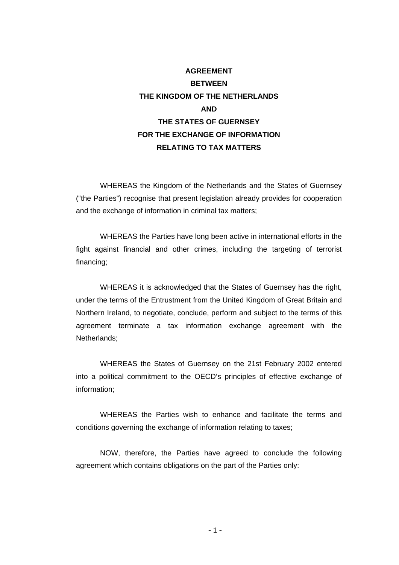# **AGREEMENT BETWEEN THE KINGDOM OF THE NETHERLANDS AND THE STATES OF GUERNSEY FOR THE EXCHANGE OF INFORMATION RELATING TO TAX MATTERS**

WHEREAS the Kingdom of the Netherlands and the States of Guernsey ("the Parties") recognise that present legislation already provides for cooperation and the exchange of information in criminal tax matters;

WHEREAS the Parties have long been active in international efforts in the fight against financial and other crimes, including the targeting of terrorist financing;

WHEREAS it is acknowledged that the States of Guernsey has the right, under the terms of the Entrustment from the United Kingdom of Great Britain and Northern Ireland, to negotiate, conclude, perform and subject to the terms of this agreement terminate a tax information exchange agreement with the Netherlands;

WHEREAS the States of Guernsey on the 21st February 2002 entered into a political commitment to the OECD's principles of effective exchange of information;

WHEREAS the Parties wish to enhance and facilitate the terms and conditions governing the exchange of information relating to taxes;

NOW, therefore, the Parties have agreed to conclude the following agreement which contains obligations on the part of the Parties only: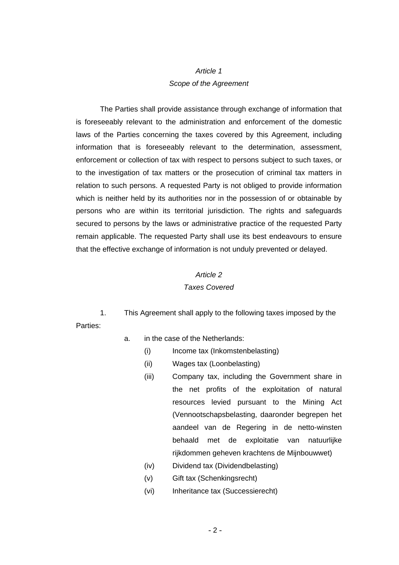## *Article 1 Scope of the Agreement*

The Parties shall provide assistance through exchange of information that is foreseeably relevant to the administration and enforcement of the domestic laws of the Parties concerning the taxes covered by this Agreement, including information that is foreseeably relevant to the determination, assessment, enforcement or collection of tax with respect to persons subject to such taxes, or to the investigation of tax matters or the prosecution of criminal tax matters in relation to such persons. A requested Party is not obliged to provide information which is neither held by its authorities nor in the possession of or obtainable by persons who are within its territorial jurisdiction. The rights and safeguards secured to persons by the laws or administrative practice of the requested Party remain applicable. The requested Party shall use its best endeavours to ensure that the effective exchange of information is not unduly prevented or delayed.

#### *Article 2*

#### *Taxes Covered*

 1. This Agreement shall apply to the following taxes imposed by the Parties:

- a. in the case of the Netherlands:
	- (i) Income tax (Inkomstenbelasting)
	- (ii) Wages tax (Loonbelasting)
	- (iii) Company tax, including the Government share in the net profits of the exploitation of natural resources levied pursuant to the Mining Act (Vennootschapsbelasting, daaronder begrepen het aandeel van de Regering in de netto-winsten behaald met de exploitatie van natuurlijke rijkdommen geheven krachtens de Mijnbouwwet)
	- (iv) Dividend tax (Dividendbelasting)
	- (v) Gift tax (Schenkingsrecht)
	- (vi) Inheritance tax (Successierecht)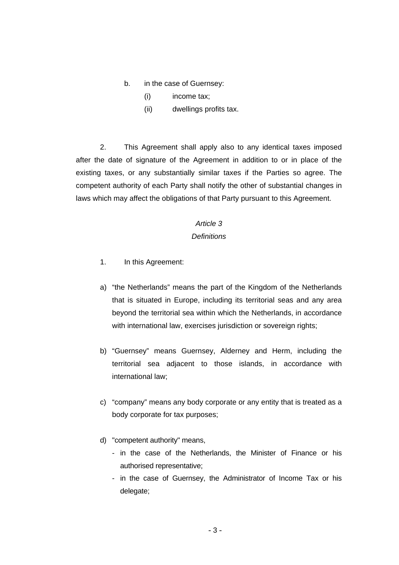- b. in the case of Guernsey:
	- (i) income tax;
	- (ii) dwellings profits tax.

2. This Agreement shall apply also to any identical taxes imposed after the date of signature of the Agreement in addition to or in place of the existing taxes, or any substantially similar taxes if the Parties so agree. The competent authority of each Party shall notify the other of substantial changes in laws which may affect the obligations of that Party pursuant to this Agreement.

## *Article 3*

## *Definitions*

- 1. In this Agreement:
- a) "the Netherlands" means the part of the Kingdom of the Netherlands that is situated in Europe, including its territorial seas and any area beyond the territorial sea within which the Netherlands, in accordance with international law, exercises jurisdiction or sovereign rights;
- b) "Guernsey" means Guernsey, Alderney and Herm, including the territorial sea adjacent to those islands, in accordance with international law;
- c) "company" means any body corporate or any entity that is treated as a body corporate for tax purposes;
- d) "competent authority" means,
	- in the case of the Netherlands, the Minister of Finance or his authorised representative;
	- in the case of Guernsey, the Administrator of Income Tax or his delegate: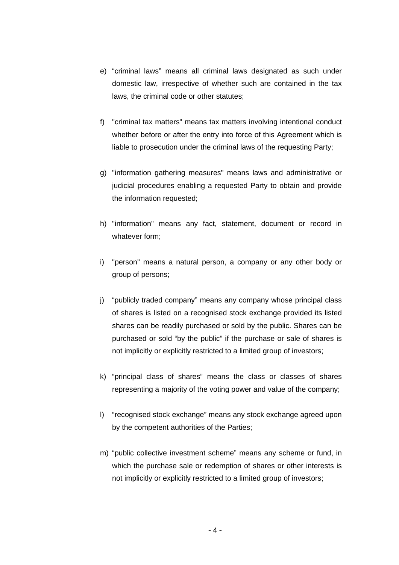- e) "criminal laws" means all criminal laws designated as such under domestic law, irrespective of whether such are contained in the tax laws, the criminal code or other statutes;
- f) "criminal tax matters" means tax matters involving intentional conduct whether before or after the entry into force of this Agreement which is liable to prosecution under the criminal laws of the requesting Party;
- g) "information gathering measures" means laws and administrative or judicial procedures enabling a requested Party to obtain and provide the information requested;
- h) "information" means any fact, statement, document or record in whatever form;
- i) "person" means a natural person, a company or any other body or group of persons;
- j) "publicly traded company" means any company whose principal class of shares is listed on a recognised stock exchange provided its listed shares can be readily purchased or sold by the public. Shares can be purchased or sold "by the public" if the purchase or sale of shares is not implicitly or explicitly restricted to a limited group of investors;
- k) "principal class of shares" means the class or classes of shares representing a majority of the voting power and value of the company;
- l) "recognised stock exchange" means any stock exchange agreed upon by the competent authorities of the Parties;
- m) "public collective investment scheme" means any scheme or fund, in which the purchase sale or redemption of shares or other interests is not implicitly or explicitly restricted to a limited group of investors;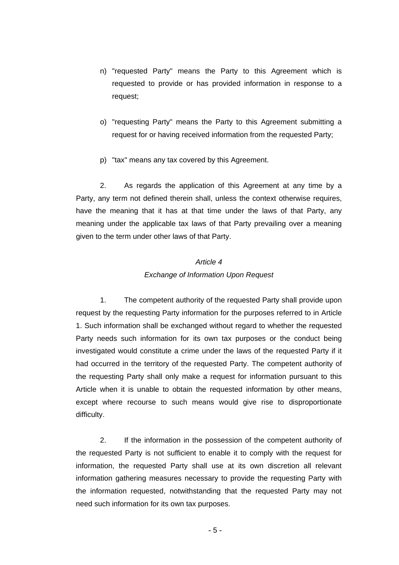- n) "requested Party" means the Party to this Agreement which is requested to provide or has provided information in response to a request;
- o) "requesting Party" means the Party to this Agreement submitting a request for or having received information from the requested Party;
- p) "tax" means any tax covered by this Agreement.

2. As regards the application of this Agreement at any time by a Party, any term not defined therein shall, unless the context otherwise requires, have the meaning that it has at that time under the laws of that Party, any meaning under the applicable tax laws of that Party prevailing over a meaning given to the term under other laws of that Party.

## *Article 4 Exchange of Information Upon Request*

1. The competent authority of the requested Party shall provide upon request by the requesting Party information for the purposes referred to in Article 1. Such information shall be exchanged without regard to whether the requested Party needs such information for its own tax purposes or the conduct being investigated would constitute a crime under the laws of the requested Party if it had occurred in the territory of the requested Party. The competent authority of the requesting Party shall only make a request for information pursuant to this Article when it is unable to obtain the requested information by other means, except where recourse to such means would give rise to disproportionate difficulty.

2. If the information in the possession of the competent authority of the requested Party is not sufficient to enable it to comply with the request for information, the requested Party shall use at its own discretion all relevant information gathering measures necessary to provide the requesting Party with the information requested, notwithstanding that the requested Party may not need such information for its own tax purposes.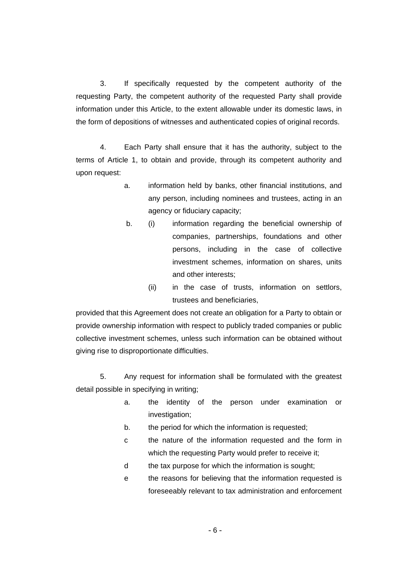3. If specifically requested by the competent authority of the requesting Party, the competent authority of the requested Party shall provide information under this Article, to the extent allowable under its domestic laws, in the form of depositions of witnesses and authenticated copies of original records.

4. Each Party shall ensure that it has the authority, subject to the terms of Article 1, to obtain and provide, through its competent authority and upon request:

- a. information held by banks, other financial institutions, and any person, including nominees and trustees, acting in an agency or fiduciary capacity;
- b. (i) information regarding the beneficial ownership of companies, partnerships, foundations and other persons, including in the case of collective investment schemes, information on shares, units and other interests;
	- (ii) in the case of trusts, information on settlors, trustees and beneficiaries,

provided that this Agreement does not create an obligation for a Party to obtain or provide ownership information with respect to publicly traded companies or public collective investment schemes, unless such information can be obtained without giving rise to disproportionate difficulties.

5. Any request for information shall be formulated with the greatest detail possible in specifying in writing;

- a. the identity of the person under examination or investigation;
- b. the period for which the information is requested;
- c the nature of the information requested and the form in which the requesting Party would prefer to receive it;
- d the tax purpose for which the information is sought;
- e the reasons for believing that the information requested is foreseeably relevant to tax administration and enforcement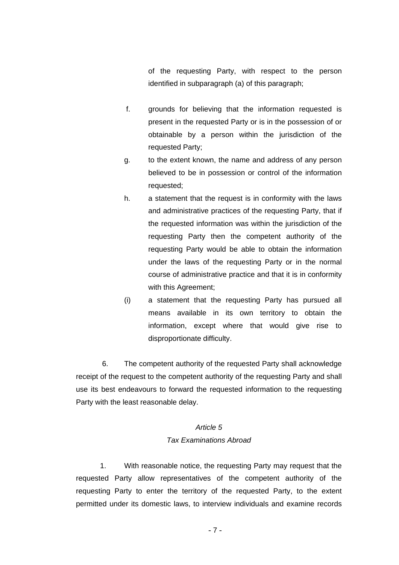of the requesting Party, with respect to the person identified in subparagraph (a) of this paragraph;

- f. grounds for believing that the information requested is present in the requested Party or is in the possession of or obtainable by a person within the jurisdiction of the requested Party;
- g. to the extent known, the name and address of any person believed to be in possession or control of the information requested;
- h. a statement that the request is in conformity with the laws and administrative practices of the requesting Party, that if the requested information was within the jurisdiction of the requesting Party then the competent authority of the requesting Party would be able to obtain the information under the laws of the requesting Party or in the normal course of administrative practice and that it is in conformity with this Agreement;
- (i) a statement that the requesting Party has pursued all means available in its own territory to obtain the information, except where that would give rise to disproportionate difficulty.

6. The competent authority of the requested Party shall acknowledge receipt of the request to the competent authority of the requesting Party and shall use its best endeavours to forward the requested information to the requesting Party with the least reasonable delay.

## *Article 5*

## *Tax Examinations Abroad*

1. With reasonable notice, the requesting Party may request that the requested Party allow representatives of the competent authority of the requesting Party to enter the territory of the requested Party, to the extent permitted under its domestic laws, to interview individuals and examine records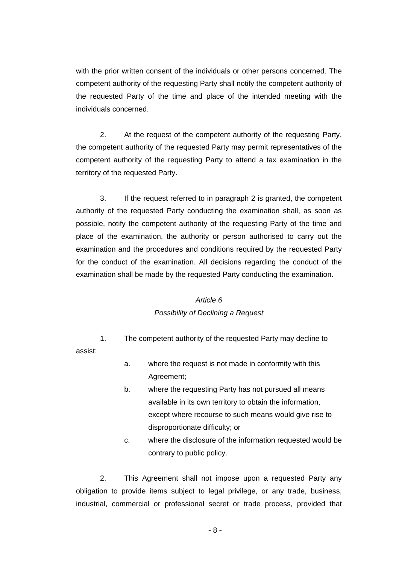with the prior written consent of the individuals or other persons concerned. The competent authority of the requesting Party shall notify the competent authority of the requested Party of the time and place of the intended meeting with the individuals concerned.

2. At the request of the competent authority of the requesting Party, the competent authority of the requested Party may permit representatives of the competent authority of the requesting Party to attend a tax examination in the territory of the requested Party.

3. If the request referred to in paragraph 2 is granted, the competent authority of the requested Party conducting the examination shall, as soon as possible, notify the competent authority of the requesting Party of the time and place of the examination, the authority or person authorised to carry out the examination and the procedures and conditions required by the requested Party for the conduct of the examination. All decisions regarding the conduct of the examination shall be made by the requested Party conducting the examination.

#### *Article 6*

#### *Possibility of Declining a Request*

1. The competent authority of the requested Party may decline to assist:

- a. where the request is not made in conformity with this Agreement;
- b. where the requesting Party has not pursued all means available in its own territory to obtain the information, except where recourse to such means would give rise to disproportionate difficulty; or
- c. where the disclosure of the information requested would be contrary to public policy.

2. This Agreement shall not impose upon a requested Party any obligation to provide items subject to legal privilege, or any trade, business, industrial, commercial or professional secret or trade process, provided that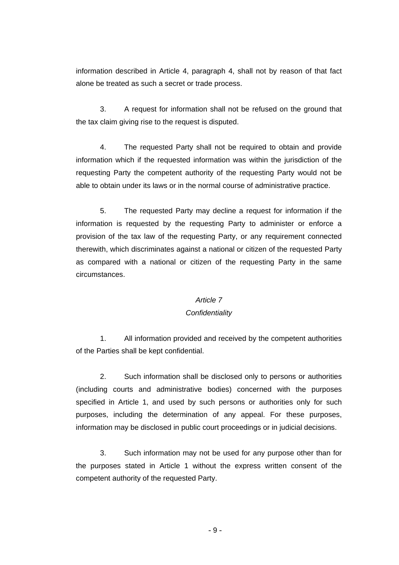information described in Article 4, paragraph 4, shall not by reason of that fact alone be treated as such a secret or trade process.

3. A request for information shall not be refused on the ground that the tax claim giving rise to the request is disputed.

4. The requested Party shall not be required to obtain and provide information which if the requested information was within the jurisdiction of the requesting Party the competent authority of the requesting Party would not be able to obtain under its laws or in the normal course of administrative practice.

5. The requested Party may decline a request for information if the information is requested by the requesting Party to administer or enforce a provision of the tax law of the requesting Party, or any requirement connected therewith, which discriminates against a national or citizen of the requested Party as compared with a national or citizen of the requesting Party in the same circumstances.

#### *Article 7*

## *Confidentiality*

1. All information provided and received by the competent authorities of the Parties shall be kept confidential.

2. Such information shall be disclosed only to persons or authorities (including courts and administrative bodies) concerned with the purposes specified in Article 1, and used by such persons or authorities only for such purposes, including the determination of any appeal. For these purposes, information may be disclosed in public court proceedings or in judicial decisions.

3. Such information may not be used for any purpose other than for the purposes stated in Article 1 without the express written consent of the competent authority of the requested Party.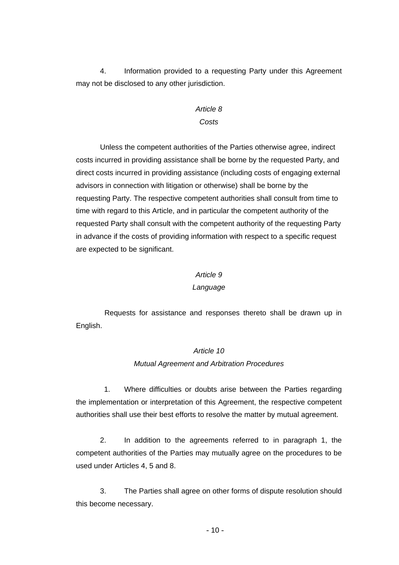4. Information provided to a requesting Party under this Agreement may not be disclosed to any other jurisdiction.

## *Article 8 Costs*

Unless the competent authorities of the Parties otherwise agree, indirect costs incurred in providing assistance shall be borne by the requested Party, and direct costs incurred in providing assistance (including costs of engaging external advisors in connection with litigation or otherwise) shall be borne by the requesting Party. The respective competent authorities shall consult from time to time with regard to this Article, and in particular the competent authority of the requested Party shall consult with the competent authority of the requesting Party in advance if the costs of providing information with respect to a specific request are expected to be significant.

#### *Article 9*

#### *Language*

Requests for assistance and responses thereto shall be drawn up in English.

## *Article 10*

#### *Mutual Agreement and Arbitration Procedures*

1. Where difficulties or doubts arise between the Parties regarding the implementation or interpretation of this Agreement, the respective competent authorities shall use their best efforts to resolve the matter by mutual agreement.

2. In addition to the agreements referred to in paragraph 1, the competent authorities of the Parties may mutually agree on the procedures to be used under Articles 4, 5 and 8.

3. The Parties shall agree on other forms of dispute resolution should this become necessary.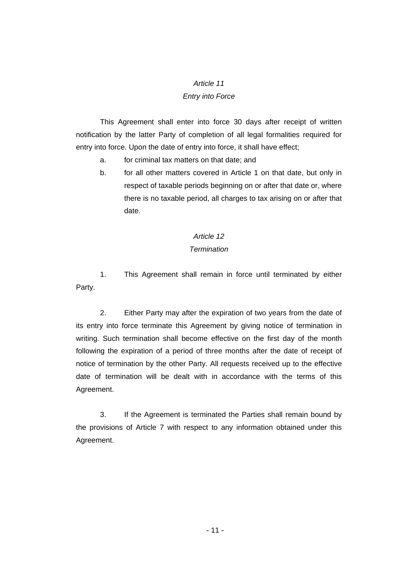#### *Article 11*

## *Entry into Force*

This Agreement shall enter into force 30 days after receipt of written notification by the latter Party of completion of all legal formalities required for entry into force. Upon the date of entry into force, it shall have effect;

- a. for criminal tax matters on that date; and
- b. for all other matters covered in Article 1 on that date, but only in respect of taxable periods beginning on or after that date or, where there is no taxable period, all charges to tax arising on or after that date.

## *Article 12*

## *Termination*

1. This Agreement shall remain in force until terminated by either Party.

2. Either Party may after the expiration of two years from the date of its entry into force terminate this Agreement by giving notice of termination in writing. Such termination shall become effective on the first day of the month following the expiration of a period of three months after the date of receipt of notice of termination by the other Party. All requests received up to the effective date of termination will be dealt with in accordance with the terms of this Agreement.

3. If the Agreement is terminated the Parties shall remain bound by the provisions of Article 7 with respect to any information obtained under this Agreement.